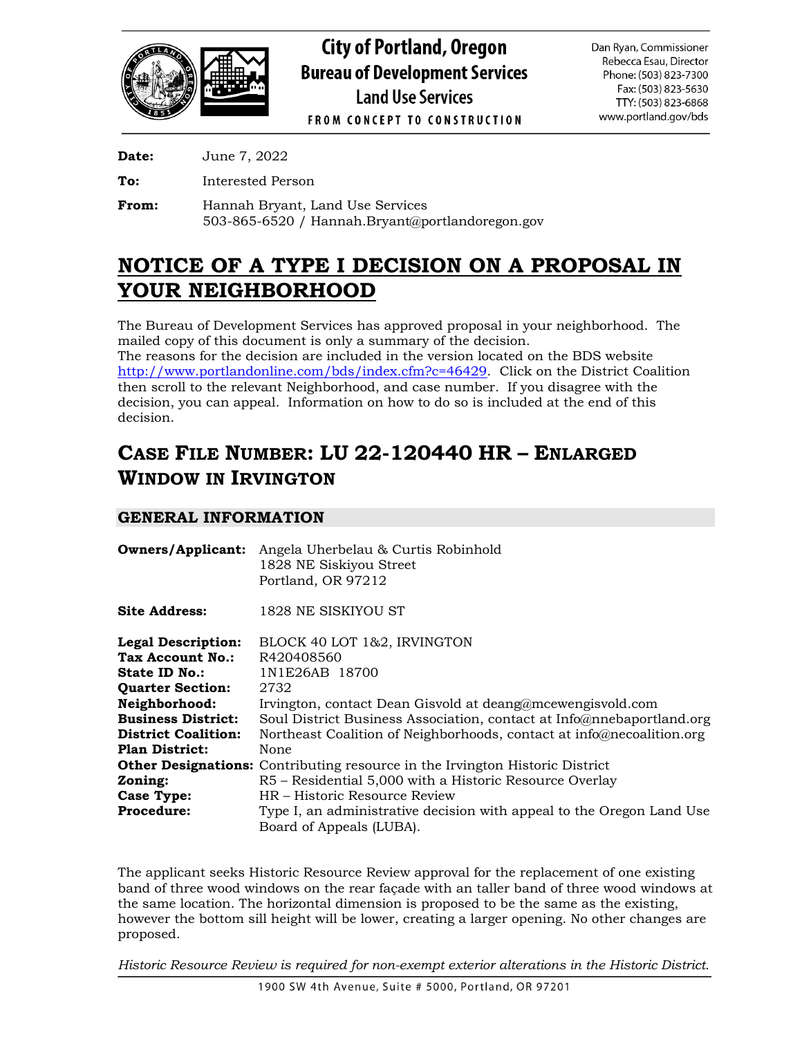

**Date:** June 7, 2022

**To:** Interested Person

**From:** Hannah Bryant, Land Use Services 503-865-6520 / Hannah.Bryant@portlandoregon.gov

# **NOTICE OF A TYPE I DECISION ON A PROPOSAL IN YOUR NEIGHBORHOOD**

The Bureau of Development Services has approved proposal in your neighborhood. The mailed copy of this document is only a summary of the decision.

The reasons for the decision are included in the version located on the BDS website [http://www.portlandonline.com/bds/index.cfm?c=46429.](http://www.portlandonline.com/bds/index.cfm?c=46429) Click on the District Coalition then scroll to the relevant Neighborhood, and case number. If you disagree with the decision, you can appeal. Information on how to do so is included at the end of this decision.

# **CASE FILE NUMBER: LU 22-120440 HR – ENLARGED WINDOW IN IRVINGTON**

## **GENERAL INFORMATION**

|                            | <b>Owners/Applicant:</b> Angela Uherbelau & Curtis Robinhold<br>1828 NE Siskiyou Street<br>Portland, OR 97212 |  |  |  |
|----------------------------|---------------------------------------------------------------------------------------------------------------|--|--|--|
| Site Address:              | 1828 NE SISKIYOU ST                                                                                           |  |  |  |
| <b>Legal Description:</b>  | BLOCK 40 LOT 1&2, IRVINGTON                                                                                   |  |  |  |
| Tax Account No.:           | R420408560                                                                                                    |  |  |  |
| <b>State ID No.:</b>       | 1N1E26AB 18700                                                                                                |  |  |  |
| <b>Quarter Section:</b>    | 2732                                                                                                          |  |  |  |
| Neighborhood:              | Irvington, contact Dean Gisvold at deang@mcewengisvold.com                                                    |  |  |  |
| <b>Business District:</b>  | Soul District Business Association, contact at Info@nnebaportland.org                                         |  |  |  |
| <b>District Coalition:</b> | Northeast Coalition of Neighborhoods, contact at info@necoalition.org                                         |  |  |  |
| <b>Plan District:</b>      | None                                                                                                          |  |  |  |
|                            | <b>Other Designations:</b> Contributing resource in the Irvington Historic District                           |  |  |  |
| Zoning:                    | R5 – Residential 5,000 with a Historic Resource Overlay                                                       |  |  |  |
| Case Type:                 | HR – Historic Resource Review                                                                                 |  |  |  |
| <b>Procedure:</b>          | Type I, an administrative decision with appeal to the Oregon Land Use                                         |  |  |  |
|                            | Board of Appeals (LUBA).                                                                                      |  |  |  |

The applicant seeks Historic Resource Review approval for the replacement of one existing band of three wood windows on the rear façade with an taller band of three wood windows at the same location. The horizontal dimension is proposed to be the same as the existing, however the bottom sill height will be lower, creating a larger opening. No other changes are proposed.

*Historic Resource Review is required for non-exempt exterior alterations in the Historic District.*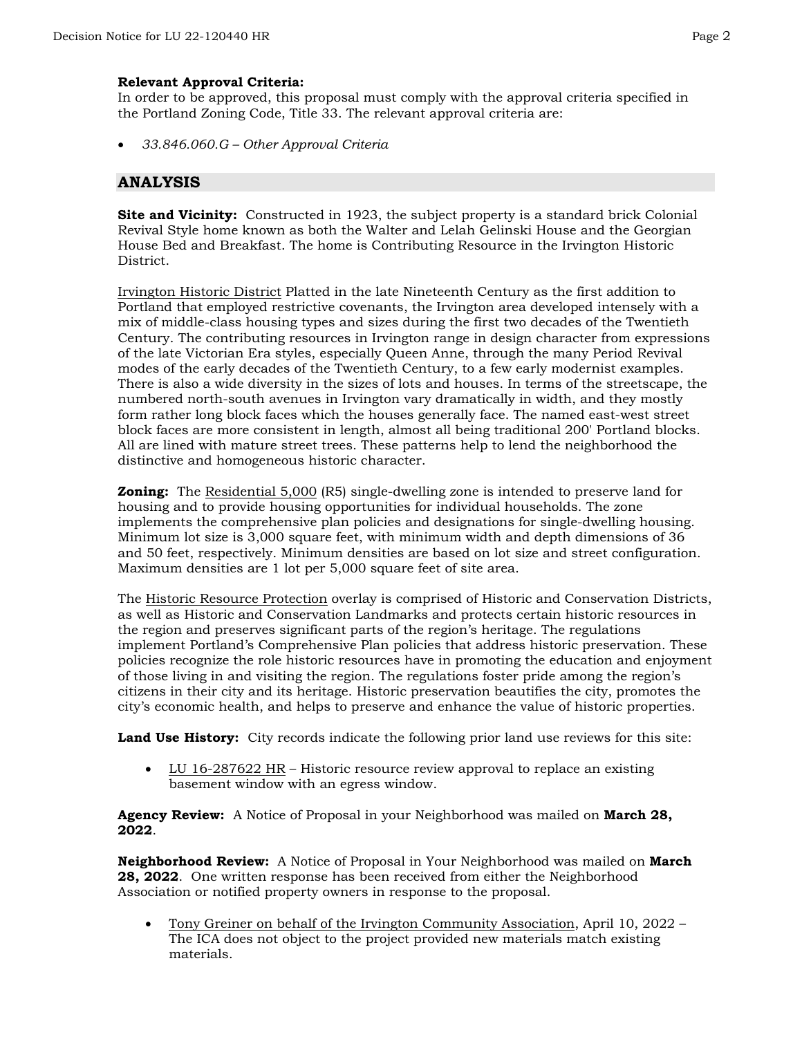## **Relevant Approval Criteria:**

In order to be approved, this proposal must comply with the approval criteria specified in the Portland Zoning Code, Title 33. The relevant approval criteria are:

• *33.846.060.G – Other Approval Criteria*

## **ANALYSIS**

**Site and Vicinity:** Constructed in 1923, the subject property is a standard brick Colonial Revival Style home known as both the Walter and Lelah Gelinski House and the Georgian House Bed and Breakfast. The home is Contributing Resource in the Irvington Historic District.

Irvington Historic District Platted in the late Nineteenth Century as the first addition to Portland that employed restrictive covenants, the Irvington area developed intensely with a mix of middle-class housing types and sizes during the first two decades of the Twentieth Century. The contributing resources in Irvington range in design character from expressions of the late Victorian Era styles, especially Queen Anne, through the many Period Revival modes of the early decades of the Twentieth Century, to a few early modernist examples. There is also a wide diversity in the sizes of lots and houses. In terms of the streetscape, the numbered north-south avenues in Irvington vary dramatically in width, and they mostly form rather long block faces which the houses generally face. The named east-west street block faces are more consistent in length, almost all being traditional 200' Portland blocks. All are lined with mature street trees. These patterns help to lend the neighborhood the distinctive and homogeneous historic character.

**Zoning:** The Residential 5,000 (R5) single-dwelling zone is intended to preserve land for housing and to provide housing opportunities for individual households. The zone implements the comprehensive plan policies and designations for single-dwelling housing. Minimum lot size is 3,000 square feet, with minimum width and depth dimensions of 36 and 50 feet, respectively. Minimum densities are based on lot size and street configuration. Maximum densities are 1 lot per 5,000 square feet of site area.

The Historic Resource Protection overlay is comprised of Historic and Conservation Districts, as well as Historic and Conservation Landmarks and protects certain historic resources in the region and preserves significant parts of the region's heritage. The regulations implement Portland's Comprehensive Plan policies that address historic preservation. These policies recognize the role historic resources have in promoting the education and enjoyment of those living in and visiting the region. The regulations foster pride among the region's citizens in their city and its heritage. Historic preservation beautifies the city, promotes the city's economic health, and helps to preserve and enhance the value of historic properties.

**Land Use History:** City records indicate the following prior land use reviews for this site:

• LU 16-287622 HR – Historic resource review approval to replace an existing basement window with an egress window.

**Agency Review:** A Notice of Proposal in your Neighborhood was mailed on **March 28, 2022**.

**Neighborhood Review:** A Notice of Proposal in Your Neighborhood was mailed on **March 28, 2022**. One written response has been received from either the Neighborhood Association or notified property owners in response to the proposal.

• Tony Greiner on behalf of the Irvington Community Association, April 10, 2022 – The ICA does not object to the project provided new materials match existing materials.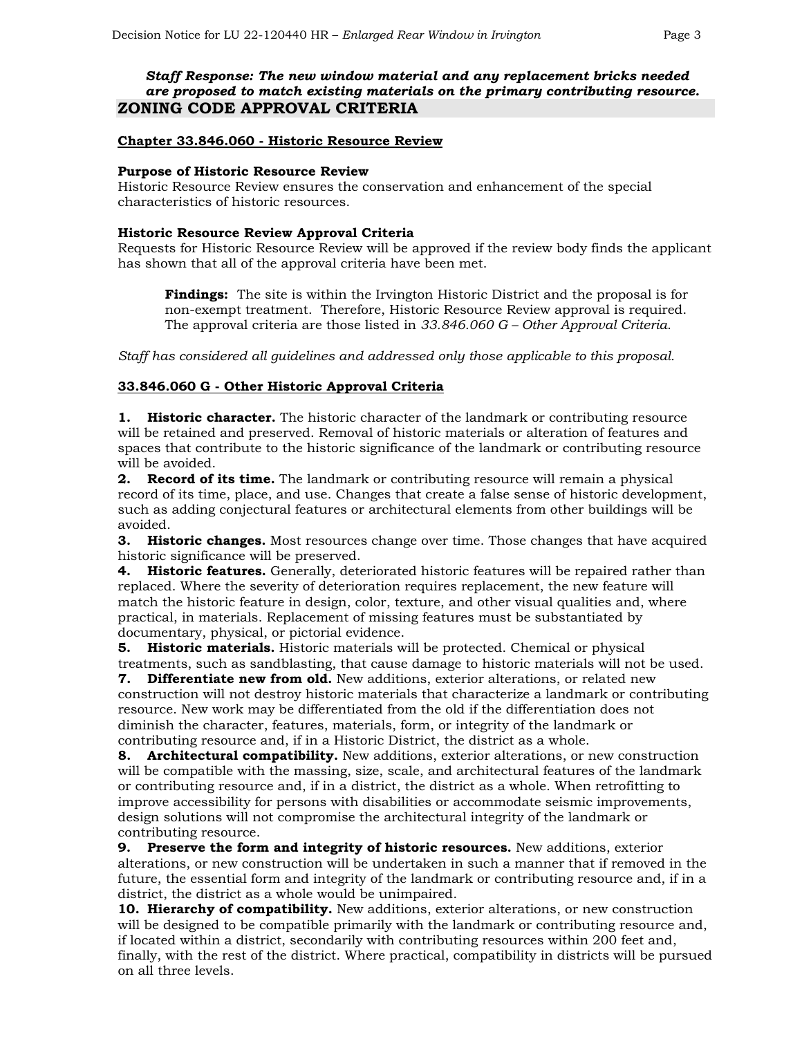## *Staff Response: The new window material and any replacement bricks needed are proposed to match existing materials on the primary contributing resource.* **ZONING CODE APPROVAL CRITERIA**

## **Chapter 33.846.060 - Historic Resource Review**

#### **Purpose of Historic Resource Review**

Historic Resource Review ensures the conservation and enhancement of the special characteristics of historic resources.

#### **Historic Resource Review Approval Criteria**

Requests for Historic Resource Review will be approved if the review body finds the applicant has shown that all of the approval criteria have been met.

**Findings:** The site is within the Irvington Historic District and the proposal is for non-exempt treatment. Therefore, Historic Resource Review approval is required. The approval criteria are those listed in *33.846.060 G – Other Approval Criteria*.

*Staff has considered all guidelines and addressed only those applicable to this proposal.*

### **33.846.060 G - Other Historic Approval Criteria**

**1. Historic character.** The historic character of the landmark or contributing resource will be retained and preserved. Removal of historic materials or alteration of features and spaces that contribute to the historic significance of the landmark or contributing resource will be avoided.

**2. Record of its time.** The landmark or contributing resource will remain a physical record of its time, place, and use. Changes that create a false sense of historic development, such as adding conjectural features or architectural elements from other buildings will be avoided.

**3. Historic changes.** Most resources change over time. Those changes that have acquired historic significance will be preserved.

**4. Historic features.** Generally, deteriorated historic features will be repaired rather than replaced. Where the severity of deterioration requires replacement, the new feature will match the historic feature in design, color, texture, and other visual qualities and, where practical, in materials. Replacement of missing features must be substantiated by documentary, physical, or pictorial evidence.

**5. Historic materials.** Historic materials will be protected. Chemical or physical treatments, such as sandblasting, that cause damage to historic materials will not be used.

**7. Differentiate new from old.** New additions, exterior alterations, or related new construction will not destroy historic materials that characterize a landmark or contributing resource. New work may be differentiated from the old if the differentiation does not diminish the character, features, materials, form, or integrity of the landmark or contributing resource and, if in a Historic District, the district as a whole.

**8. Architectural compatibility.** New additions, exterior alterations, or new construction will be compatible with the massing, size, scale, and architectural features of the landmark or contributing resource and, if in a district, the district as a whole. When retrofitting to improve accessibility for persons with disabilities or accommodate seismic improvements, design solutions will not compromise the architectural integrity of the landmark or contributing resource.

**9. Preserve the form and integrity of historic resources.** New additions, exterior alterations, or new construction will be undertaken in such a manner that if removed in the future, the essential form and integrity of the landmark or contributing resource and, if in a district, the district as a whole would be unimpaired.

**10. Hierarchy of compatibility.** New additions, exterior alterations, or new construction will be designed to be compatible primarily with the landmark or contributing resource and, if located within a district, secondarily with contributing resources within 200 feet and, finally, with the rest of the district. Where practical, compatibility in districts will be pursued on all three levels.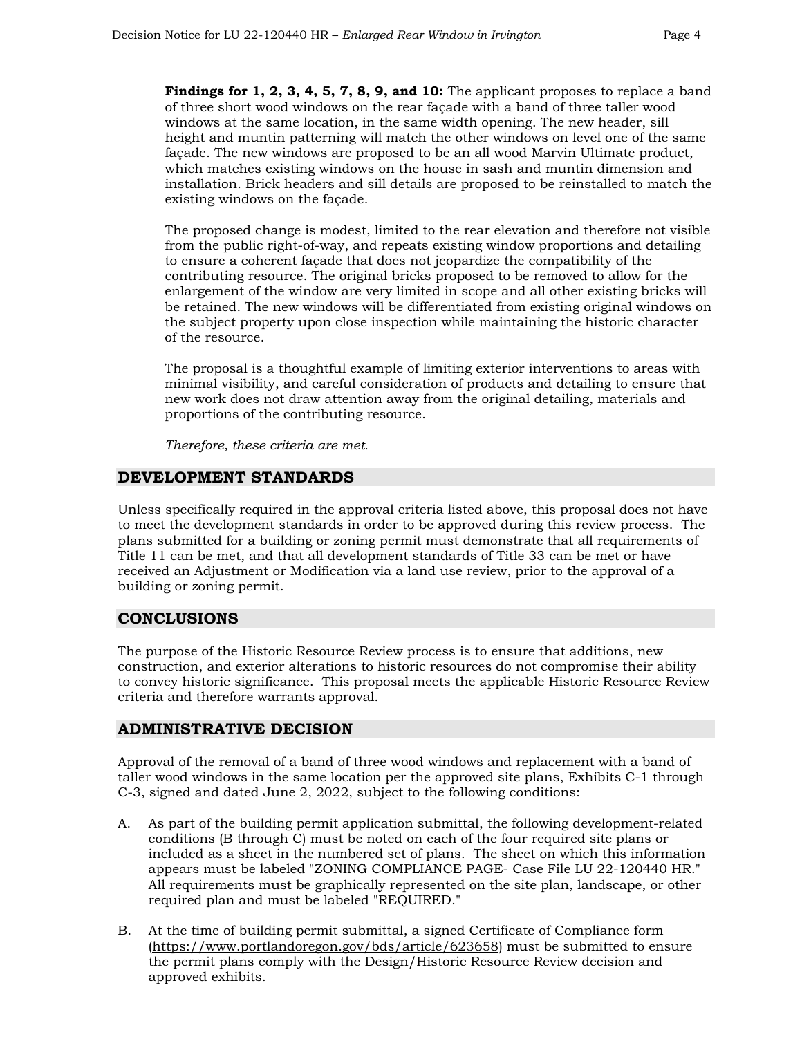**Findings for 1, 2, 3, 4, 5, 7, 8, 9, and 10:** The applicant proposes to replace a band of three short wood windows on the rear façade with a band of three taller wood windows at the same location, in the same width opening. The new header, sill height and muntin patterning will match the other windows on level one of the same façade. The new windows are proposed to be an all wood Marvin Ultimate product, which matches existing windows on the house in sash and muntin dimension and installation. Brick headers and sill details are proposed to be reinstalled to match the existing windows on the façade.

The proposed change is modest, limited to the rear elevation and therefore not visible from the public right-of-way, and repeats existing window proportions and detailing to ensure a coherent façade that does not jeopardize the compatibility of the contributing resource. The original bricks proposed to be removed to allow for the enlargement of the window are very limited in scope and all other existing bricks will be retained. The new windows will be differentiated from existing original windows on the subject property upon close inspection while maintaining the historic character of the resource.

The proposal is a thoughtful example of limiting exterior interventions to areas with minimal visibility, and careful consideration of products and detailing to ensure that new work does not draw attention away from the original detailing, materials and proportions of the contributing resource.

*Therefore, these criteria are met.* 

## **DEVELOPMENT STANDARDS**

Unless specifically required in the approval criteria listed above, this proposal does not have to meet the development standards in order to be approved during this review process. The plans submitted for a building or zoning permit must demonstrate that all requirements of Title 11 can be met, and that all development standards of Title 33 can be met or have received an Adjustment or Modification via a land use review, prior to the approval of a building or zoning permit.

## **CONCLUSIONS**

The purpose of the Historic Resource Review process is to ensure that additions, new construction, and exterior alterations to historic resources do not compromise their ability to convey historic significance. This proposal meets the applicable Historic Resource Review criteria and therefore warrants approval.

### **ADMINISTRATIVE DECISION**

Approval of the removal of a band of three wood windows and replacement with a band of taller wood windows in the same location per the approved site plans, Exhibits C-1 through C-3, signed and dated June 2, 2022, subject to the following conditions:

- A. As part of the building permit application submittal, the following development-related conditions (B through C) must be noted on each of the four required site plans or included as a sheet in the numbered set of plans. The sheet on which this information appears must be labeled "ZONING COMPLIANCE PAGE- Case File LU 22-120440 HR." All requirements must be graphically represented on the site plan, landscape, or other required plan and must be labeled "REQUIRED."
- B. At the time of building permit submittal, a signed Certificate of Compliance form [\(https://www.portlandoregon.gov/bds/article/623658\)](https://www.portlandoregon.gov/bds/article/623658) must be submitted to ensure the permit plans comply with the Design/Historic Resource Review decision and approved exhibits.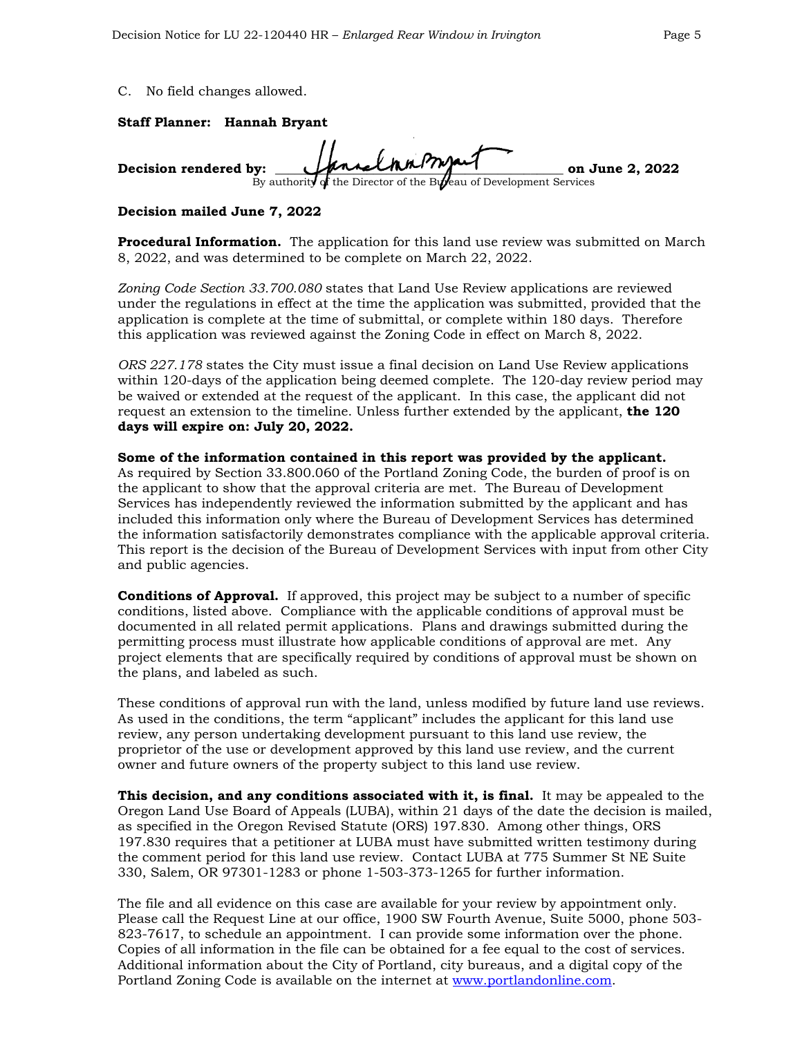#### C. No field changes allowed.

#### **Staff Planner: Hannah Bryant**

**Decision rendered by: \_\_\_\_\_\_\_\_\_\_\_\_\_\_\_\_\_\_\_\_\_\_\_\_\_\_\_\_\_\_\_\_\_\_\_\_\_\_\_\_\_\_\_\_ on June 2, 2022**of the Director of the Bureau of Development Services

#### **Decision mailed June 7, 2022**

**Procedural Information.** The application for this land use review was submitted on March 8, 2022, and was determined to be complete on March 22, 2022.

*Zoning Code Section 33.700.080* states that Land Use Review applications are reviewed under the regulations in effect at the time the application was submitted, provided that the application is complete at the time of submittal, or complete within 180 days. Therefore this application was reviewed against the Zoning Code in effect on March 8, 2022.

*ORS 227.178* states the City must issue a final decision on Land Use Review applications within 120-days of the application being deemed complete. The 120-day review period may be waived or extended at the request of the applicant. In this case, the applicant did not request an extension to the timeline. Unless further extended by the applicant, **the 120 days will expire on: July 20, 2022.** 

## **Some of the information contained in this report was provided by the applicant.**

As required by Section 33.800.060 of the Portland Zoning Code, the burden of proof is on the applicant to show that the approval criteria are met. The Bureau of Development Services has independently reviewed the information submitted by the applicant and has included this information only where the Bureau of Development Services has determined the information satisfactorily demonstrates compliance with the applicable approval criteria. This report is the decision of the Bureau of Development Services with input from other City and public agencies.

**Conditions of Approval.** If approved, this project may be subject to a number of specific conditions, listed above. Compliance with the applicable conditions of approval must be documented in all related permit applications. Plans and drawings submitted during the permitting process must illustrate how applicable conditions of approval are met. Any project elements that are specifically required by conditions of approval must be shown on the plans, and labeled as such.

These conditions of approval run with the land, unless modified by future land use reviews. As used in the conditions, the term "applicant" includes the applicant for this land use review, any person undertaking development pursuant to this land use review, the proprietor of the use or development approved by this land use review, and the current owner and future owners of the property subject to this land use review.

**This decision, and any conditions associated with it, is final.** It may be appealed to the Oregon Land Use Board of Appeals (LUBA), within 21 days of the date the decision is mailed, as specified in the Oregon Revised Statute (ORS) 197.830. Among other things, ORS 197.830 requires that a petitioner at LUBA must have submitted written testimony during the comment period for this land use review. Contact LUBA at 775 Summer St NE Suite 330, Salem, OR 97301-1283 or phone 1-503-373-1265 for further information.

The file and all evidence on this case are available for your review by appointment only. Please call the Request Line at our office, 1900 SW Fourth Avenue, Suite 5000, phone 503- 823-7617, to schedule an appointment. I can provide some information over the phone. Copies of all information in the file can be obtained for a fee equal to the cost of services. Additional information about the City of Portland, city bureaus, and a digital copy of the Portland Zoning Code is available on the internet at [www.portlandonline.com.](http://www.portlandonline.com/)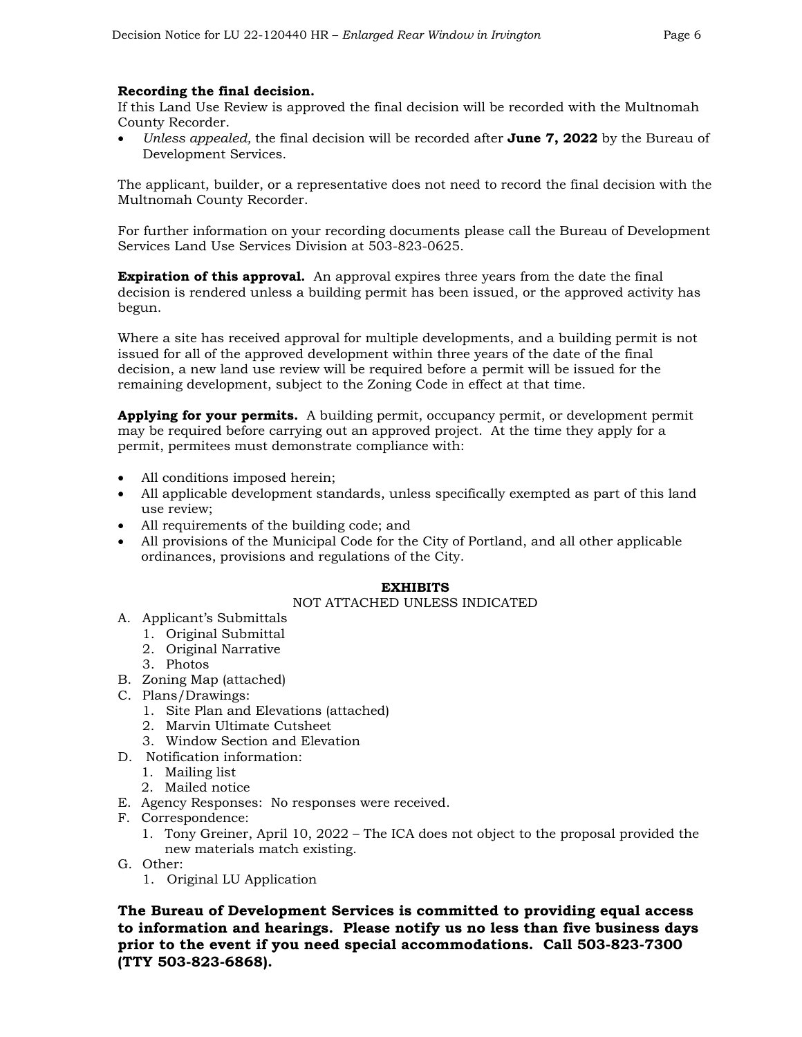## **Recording the final decision.**

If this Land Use Review is approved the final decision will be recorded with the Multnomah County Recorder.

• *Unless appealed,* the final decision will be recorded after **June 7, 2022** by the Bureau of Development Services.

The applicant, builder, or a representative does not need to record the final decision with the Multnomah County Recorder.

For further information on your recording documents please call the Bureau of Development Services Land Use Services Division at 503-823-0625.

**Expiration of this approval.** An approval expires three years from the date the final decision is rendered unless a building permit has been issued, or the approved activity has begun.

Where a site has received approval for multiple developments, and a building permit is not issued for all of the approved development within three years of the date of the final decision, a new land use review will be required before a permit will be issued for the remaining development, subject to the Zoning Code in effect at that time.

**Applying for your permits.** A building permit, occupancy permit, or development permit may be required before carrying out an approved project. At the time they apply for a permit, permitees must demonstrate compliance with:

- All conditions imposed herein;
- All applicable development standards, unless specifically exempted as part of this land use review;
- All requirements of the building code; and
- All provisions of the Municipal Code for the City of Portland, and all other applicable ordinances, provisions and regulations of the City.

### **EXHIBITS**

### NOT ATTACHED UNLESS INDICATED

- A. Applicant's Submittals
	- 1. Original Submittal
	- 2. Original Narrative
	- 3. Photos
- B. Zoning Map (attached)
- C. Plans/Drawings:
	- 1. Site Plan and Elevations (attached)
	- 2. Marvin Ultimate Cutsheet
	- 3. Window Section and Elevation
- D. Notification information:
	- 1. Mailing list
	- 2. Mailed notice
- E. Agency Responses: No responses were received.
- F. Correspondence:
	- 1. Tony Greiner, April 10, 2022 The ICA does not object to the proposal provided the new materials match existing.
- G. Other:
	- 1. Original LU Application

**The Bureau of Development Services is committed to providing equal access to information and hearings. Please notify us no less than five business days prior to the event if you need special accommodations. Call 503-823-7300 (TTY 503-823-6868).**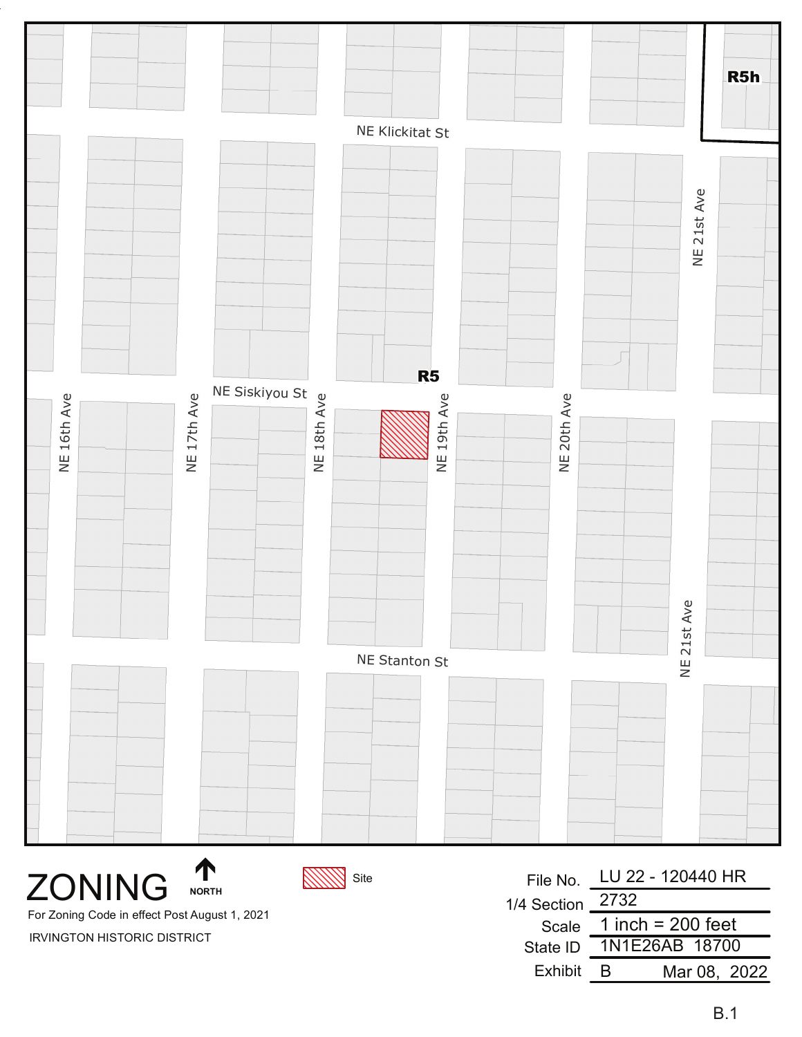|                 |             |                      |             |             | R5h         |  |
|-----------------|-------------|----------------------|-------------|-------------|-------------|--|
| NE Klickitat St |             |                      |             |             |             |  |
|                 |             |                      |             |             | NE 21st Ave |  |
|                 |             | R <sub>5</sub>       |             |             |             |  |
| NE 16th Ave     | NE 17th Ave |                      | NE 19th Ave | NE 20th Ave |             |  |
|                 |             |                      |             |             | 21st Ave    |  |
|                 |             | <b>NE Stanton St</b> |             |             | $\equiv$    |  |
|                 |             |                      |             |             |             |  |
|                 |             |                      |             |             |             |  |

**ZONING** 

**NORTH** 



File No. 1/4 Section Scale State ID Exhibit LU 22 - 120440 HR 2732 1N1E26AB 18700 B Mar 08, 2022 1 inch =  $200$  feet